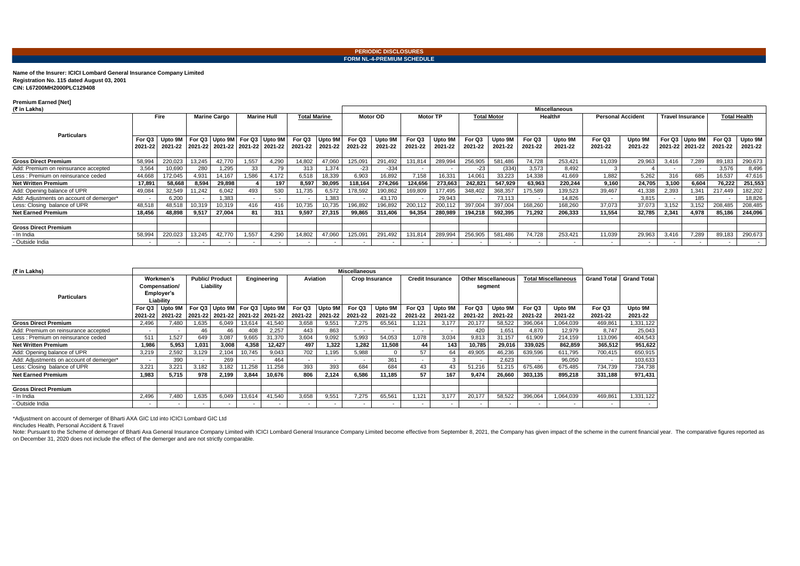**Name of the Insurer: ICICI Lombard General Insurance Company Limited Registration No. 115 dated August 03, 2001 CIN: L67200MH2000PLC129408** 

## **Premium Earned [Net]**

| н<br>۰. |
|---------|
|---------|

| (₹ in Lakhs)                             |                   |                                    |        |                                                                          |       |                     |                   |                    |                   |                    | Miscellaneous     |                    |                          |                    |                   |                          |                   |                         |       |                                     |                   |                    |  |  |
|------------------------------------------|-------------------|------------------------------------|--------|--------------------------------------------------------------------------|-------|---------------------|-------------------|--------------------|-------------------|--------------------|-------------------|--------------------|--------------------------|--------------------|-------------------|--------------------------|-------------------|-------------------------|-------|-------------------------------------|-------------------|--------------------|--|--|
|                                          |                   | <b>Fire</b><br><b>Marine Cargo</b> |        | <b>Marine Hull</b>                                                       |       | <b>Total Marine</b> |                   | Motor OD           |                   | <b>Motor TP</b>    |                   | <b>Total Motor</b> |                          | Health#            |                   | <b>Personal Accident</b> |                   | <b>Travel Insurance</b> |       | <b>Total Health</b>                 |                   |                    |  |  |
| <b>Particulars</b>                       | For Q3<br>2021-22 | Upto 9M<br>2021-22                 |        | For Q3 Upto 9M For Q3 Upto 9M<br>  2021-22   2021-22   2021-22   2021-22 |       |                     | For Q3<br>2021-22 | Upto 9M<br>2021-22 | For Q3<br>2021-22 | Upto 9M<br>2021-22 | For Q3<br>2021-22 | Upto 9M<br>2021-22 | For Q3<br>2021-22        | Upto 9M<br>2021-22 | For Q3<br>2021-22 | Upto 9M<br>2021-22       | For Q3<br>2021-22 | Upto 9M<br>2021-22      |       | For Q3 Upto 9M<br>2021-22   2021-22 | For Q3<br>2021-22 | Upto 9M<br>2021-22 |  |  |
| <b>Gross Direct Premium</b>              | 58,994            | 220,023                            | 13,245 | 42,770                                                                   | 1,557 | 4,290               | 14,802            | 47,060             | 125,091           | 291,492            | 131,814           | 289,994            | 256,905                  | 581,486            | 74,728            | 253,421                  | 11,039            | 29,963                  | 3,416 | 7.289                               | 89,183            | 290,673            |  |  |
| Add: Premium on reinsurance accepted     | 3,564             | 10,690                             | 280    | 1,295                                                                    | 33    | 79                  | 313               | 1,374              | -23               | $-334$             |                   |                    | $-23$                    | (334)              | 3,573             | 8.492                    |                   |                         |       |                                     | 3,576             | 8,496              |  |  |
| Less: Premium on reinsurance ceded       | 44,668            | 172,045                            | 4,931  | 14,167                                                                   | 1,586 | 4,172               | 6,518             | 18,339             | 6,903             | 16,892             | 7,158             | 16,331             | 14,061                   | 33,223             | 14,338            | 41,669                   | 1,882             | 5.262                   | 316   | 685                                 | 16,537            | 47,616             |  |  |
| <b>Net Written Premium</b>               | 17,891            | 58,668                             | 8,594  | 29,898                                                                   |       | 197                 | 8,597             | 30,095             | 118,164           | 274,266            | 124,656           | 273,663            | 242,821                  | 547,929            | 63,963            | 220,244                  | 9,160             | 24,705                  | 3,100 | 6,604                               | 76,222            | 251,553            |  |  |
| Add: Opening balance of UPR              | 49,084            | 32,549                             | 11,242 | 6,042                                                                    | 493   | 530                 | 11,735            | 6,572              | 178,592           | 90,862             | 169,809           | 177,495            | 348,402                  | 368,357            | 175,589           | 139,523                  | 39.467            | 41,338                  | 2,393 | 1,341                               | 217,449           | 182,202            |  |  |
| Add: Adjustments on account of demerger* |                   | 6.200                              |        | 1.383                                                                    |       |                     |                   | .383               |                   | 43,170             |                   | 29,943             |                          | 73,113             | $\sim$            | 14,826                   |                   | 3.815                   |       | 185                                 |                   | 18,826             |  |  |
| Less: Closing balance of UPR             | 48,518            | 48,518                             | 10,319 | 10,319                                                                   | 416   | 416                 | 10,735            | 10,735             | 196,892           | 196,892            | 200,112           | 200,112            | 397,004                  | 397,004            | 168,260           | 168,260                  | 37,073            | 37,073                  | 3,152 | 3.152                               | 208,485           | 208,485            |  |  |
| <b>Net Earned Premium</b>                | 18,456            | 48,898                             | 9,517  | 27,004                                                                   | 81    | 311                 | 9.597             | 27,315             | 99,865            | 311,406            | 94,354            | 280,989            | 194,218                  | 592,395            | 71,292            | 206,333                  | 11.554            | 32,785                  | 2,341 | 4.978                               | 85,186            | 244,096            |  |  |
| <b>Gross Direct Premium</b>              |                   |                                    |        |                                                                          |       |                     |                   |                    |                   |                    |                   |                    |                          |                    |                   |                          |                   |                         |       |                                     |                   |                    |  |  |
| - In India                               | 58,994            | 220,023                            | 13,245 | 42,770                                                                   | 1,557 | 4,290               | 14,802            | 47,060             | 125,091           | 291,492            | 131,814           | 289,994            | 256,905                  | 581,486            | 74,728            | 253,421                  | 11,039            | 29,963                  | 3,416 | 7,289                               | 89,183            | 290,673            |  |  |
| - Outside India                          |                   |                                    |        |                                                                          |       |                     | $\sim$            | $\sim$             | $\blacksquare$    |                    |                   |                    | $\overline{\phantom{a}}$ | $\sim$             | $\sim$            |                          |                   |                         |       |                                     | . .               | $\sim$             |  |  |

Note: Pursuant to the Scheme of demerger of Bharti Axa General Insurance Company Limited with ICICI Lombard General Insurance Company Limited become effective from September 8, 2021, the Company has given impact of the sch on December 31, 2020 does not include the effect of the demerger and are not strictly comparable.

| (₹ in Lakhs)                             | <b>Miscellaneous</b>       |                          |                                    |                                                                        |             |        |                          |                    |                          |                    |                          |                          |                   |                                       |                            |                    |                    |                    |
|------------------------------------------|----------------------------|--------------------------|------------------------------------|------------------------------------------------------------------------|-------------|--------|--------------------------|--------------------|--------------------------|--------------------|--------------------------|--------------------------|-------------------|---------------------------------------|----------------------------|--------------------|--------------------|--------------------|
|                                          | Workmen's<br>Compensation/ |                          | <b>Public/Product</b><br>Liability |                                                                        | Engineering |        | <b>Aviation</b>          |                    | <b>Crop Insurance</b>    |                    | <b>Credit Insurance</b>  |                          |                   | <b>Other Miscellaneous</b><br>segment | <b>Total Miscellaneous</b> |                    | <b>Grand Total</b> | <b>Grand Total</b> |
| <b>Particulars</b>                       | Employer's<br>Liability    |                          |                                    |                                                                        |             |        |                          |                    |                          |                    |                          |                          |                   |                                       |                            |                    |                    |                    |
|                                          | For Q3<br>2021-22          | Upto 9M<br>2021-22       |                                    | For Q3 Upto 9M For Q3 Upto 9M<br>2021-22   2021-22   2021-22   2021-22 |             |        | For Q3<br>2021-22        | Upto 9N<br>2021-22 | For Q3<br>2021-22        | Upto 9M<br>2021-22 | For Q3<br>2021-22        | Upto 9M<br>2021-22       | For Q3<br>2021-22 | Upto 9M<br>2021-22                    | For Q3<br>2021-22          | Upto 9M<br>2021-22 | For Q3<br>2021-22  | Upto 9M<br>2021-22 |
| <b>Gross Direct Premium</b>              | 2,496                      | 7,480                    | .635                               | 6,049                                                                  | 13,614      | 41,540 | 3,658                    | 9,551              | 7,275                    | 65,561             | .121                     | 3,177                    | 20,177            | 58,522                                | 396,064                    | 1,064,039          | 469,861            | 1,331,122          |
| Add: Premium on reinsurance accepted     |                            | $\sim$                   | 46                                 | 46                                                                     | 408         | 2,257  | 443                      | 863                | $\sim$                   |                    | $\overline{\phantom{a}}$ | $\overline{\phantom{a}}$ | 420               | 1,651                                 | 4,870                      | 12,979             | 8.747              | 25,043             |
| Less : Premium on reinsurance ceded      | 511                        | 1.527                    | 649                                | 3,087                                                                  | 9,665       | 31,370 | 3,604                    | 9,092              | 5,993                    | 54,053             | 1,078                    | 3,034                    | 9,813             | 31,157                                | 61,909                     | 214,159            | 113,096            | 404,543            |
| <b>Net Written Premium</b>               | 1,986                      | 5,953                    | .031                               | 3.008                                                                  | 4,358       | 12,427 | 497                      | 1.322              | 1,282                    | 11,508             | 44                       | 143                      | 10,785            | 29,016                                | 339,025                    | 862,859            | 365,512            | 951,622            |
| Add: Opening balance of UPR              | 3,219                      | 2,592                    | 3,129                              | 2,104                                                                  | 10,745      | 9,043  | 702                      | 1,195              | 5,988                    | 0                  | 57                       | 64                       | 49,905            | 46,236                                | 639,596                    | 611,795            | 700,415            | 650,915            |
| Add: Adjustments on account of demerger* |                            | 390                      |                                    | 269                                                                    |             | 464    | $\sim$                   | $\sim$             |                          | 361                |                          |                          |                   | 2,623                                 |                            | 96,050             |                    | 103,633            |
| Less: Closing balance of UPR             | 3,221                      | 3,221                    | 3,182                              | 3,182                                                                  | 11,258      | 11,258 | 393                      | 393                | 684                      | 684                | 43                       | 43                       | 51,216            | 51,215                                | 675,486                    | 675,485            | 734,739            | 734,738            |
| <b>Net Earned Premium</b>                | 1,983                      | 5,715                    | 978                                | 2,199                                                                  | 3,844       | 10,676 | 806                      | 2,124              | 6,586                    | 11,185             | 57                       | 167                      | 9,474             | 26,660                                | 303,135                    | 895.218            | 331,188            | 971,431            |
| <b>Gross Direct Premium</b>              |                            |                          |                                    |                                                                        |             |        |                          |                    |                          |                    |                          |                          |                   |                                       |                            |                    |                    |                    |
| - In India                               | 2,496                      | 7,480                    | .635                               | 6,049                                                                  | 13,614      | 41,540 | 3,658                    | 9,551              | 7,275                    | 65,561             | ,121                     | 3,177                    | 20,177            | 58,522                                | 396,064                    | 1,064,039          | 469,861            | 1,331,122          |
| - Outside India                          | -                          | $\overline{\phantom{a}}$ | $\blacksquare$                     |                                                                        |             |        | $\overline{\phantom{a}}$ | $\blacksquare$     | $\overline{\phantom{0}}$ | $\blacksquare$     | $\overline{\phantom{a}}$ | $\overline{\phantom{a}}$ | $\sim$            | . .                                   |                            |                    | $\sim$             |                    |

\*Adjustment on account of demerger of Bharti AXA GIC Ltd into ICICI Lombard GIC Ltd

#includes Health, Personal Accident & Travel

## **PERIODIC DISCLOSURES**

**FORM NL-4-PREMIUM SCHEDULE**